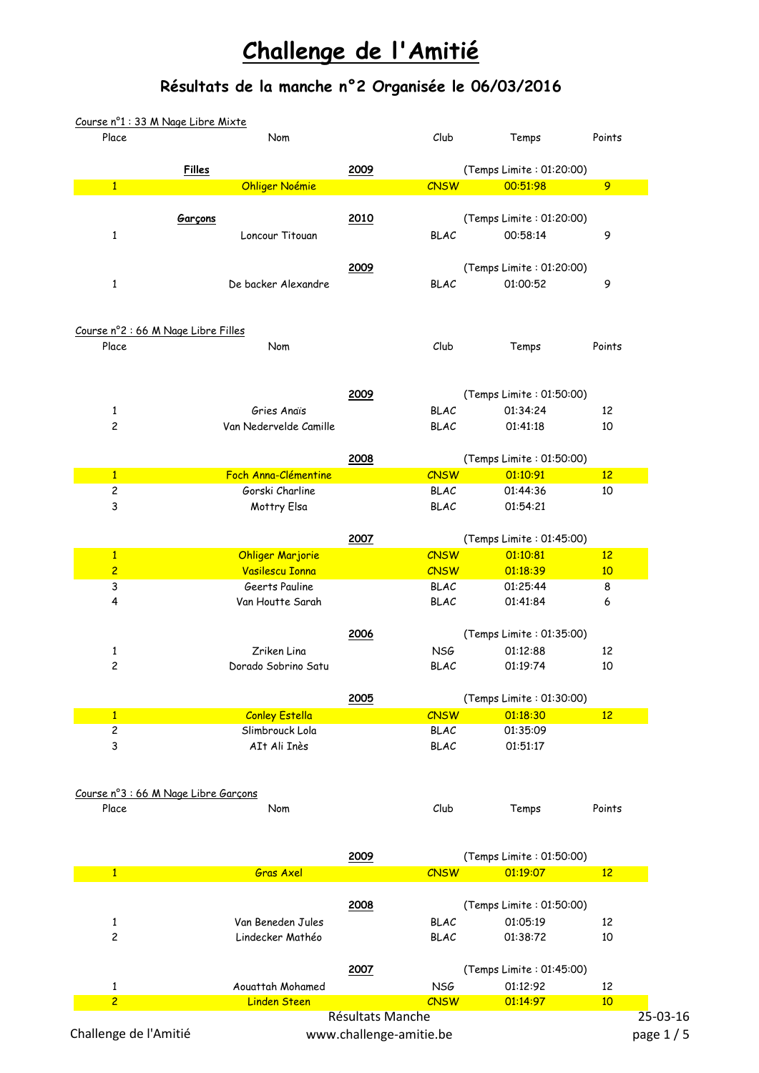## **Challenge de l'Amitié**

## **Résultats de la manche n°2 Organisée le 06/03/2016**

| Place                               | Nom                                  |                         | Club            | Temps                                | Points         |
|-------------------------------------|--------------------------------------|-------------------------|-----------------|--------------------------------------|----------------|
|                                     | <b>Filles</b>                        | 2009                    |                 | (Temps Limite: 01:20:00)             |                |
| $\mathbf{1}$                        | <b>Ohliger Noémie</b>                |                         | <b>CNSW</b>     | 00:51:98                             | $\overline{9}$ |
|                                     |                                      |                         |                 |                                      |                |
|                                     | Garçons                              | 2010                    |                 | (Temps Limite: 01:20:00)             |                |
| $\mathbf{1}$                        | Loncour Titouan                      |                         | <b>BLAC</b>     | 00:58:14                             | 9              |
|                                     |                                      | 2009                    |                 |                                      |                |
| $\mathbf{1}$                        | De backer Alexandre                  |                         | <b>BLAC</b>     | (Temps Limite: 01:20:00)<br>01:00:52 | 9              |
|                                     |                                      |                         |                 |                                      |                |
| Course nº2 : 66 M Nage Libre Filles |                                      |                         |                 |                                      |                |
| Place                               | Nom                                  |                         | Club            | Temps                                | Points         |
|                                     |                                      |                         |                 |                                      |                |
|                                     |                                      | 2009                    |                 | (Temps Limite: 01:50:00)             |                |
| $\mathbf{1}$                        | Gries Anaïs                          |                         | <b>BLAC</b>     | 01:34:24                             | 12             |
| $\overline{\mathbf{c}}$             | Van Nedervelde Camille               |                         | <b>BLAC</b>     | 01:41:18                             | 10             |
|                                     |                                      |                         |                 |                                      |                |
|                                     |                                      | 2008                    |                 | (Temps Limite: 01:50:00)             |                |
| $\mathbf{1}$                        | Foch Anna-Clémentine                 |                         | <b>CNSW</b>     | 01:10:91                             | 12             |
| 2                                   | Gorski Charline                      |                         | <b>BLAC</b>     | 01:44:36                             | 10             |
| 3                                   | Mottry Elsa                          |                         | <b>BLAC</b>     | 01:54:21                             |                |
|                                     |                                      | 2007                    |                 | (Temps Limite: 01:45:00)             |                |
| $\mathbf{1}$                        | <b>Ohliger Marjorie</b>              |                         | <b>CNSW</b>     | 01:10:81                             | 12             |
| $\overline{2}$                      | <b>Vasilescu Ionna</b>               |                         | <b>CNSW</b>     | 01:18:39                             | 10             |
| 3                                   | Geerts Pauline                       |                         | <b>BLAC</b>     | 01:25:44                             | 8              |
| 4                                   | Van Houtte Sarah                     |                         | <b>BLAC</b>     | 01:41:84                             | 6              |
|                                     |                                      | 2006                    |                 | (Temps Limite: 01:35:00)             |                |
| $\mathbf{1}$                        | Zriken Lina                          |                         | <b>NSG</b>      | 01:12:88                             | 12             |
| $\overline{\mathbf{c}}$             | Dorado Sobrino Satu                  |                         | <b>BLAC</b>     | 01:19:74                             | 10             |
|                                     |                                      | 2005                    |                 | (Temps Limite: 01:30:00)             |                |
| $\mathbf{1}$                        | <b>Conley Estella</b>                |                         | <b>CNSW</b>     | 01:18:30                             | 12             |
| 2                                   | Slimbrouck Lola                      |                         | <b>BLAC</b>     | 01:35:09                             |                |
| 3                                   | AIt Ali Inès                         |                         | <b>BLAC</b>     | 01:51:17                             |                |
|                                     |                                      |                         |                 |                                      |                |
|                                     | Course nº3 : 66 M Nage Libre Garçons |                         |                 |                                      |                |
| Place                               | Nom                                  |                         | Club            | Temps                                | Points         |
|                                     |                                      |                         |                 |                                      |                |
|                                     |                                      | 2009                    |                 | (Temps Limite: 01:50:00)             |                |
| $\overline{1}$                      | <b>Gras Axel</b>                     |                         | <b>CNSW</b>     | 01:19:07                             | 12             |
|                                     |                                      | 2008                    |                 | (Temps Limite: 01:50:00)             |                |
| $\mathbf{1}$                        | Van Beneden Jules                    |                         | <b>BLAC</b>     | 01:05:19                             | 12             |
| $\overline{\mathbf{c}}$             | Lindecker Mathéo                     |                         | <b>BLAC</b>     | 01:38:72                             | 10             |
|                                     |                                      | 2007                    |                 | (Temps Limite: 01:45:00)             |                |
| $\mathbf{1}$                        | Aouattah Mohamed                     |                         | NS <sub>G</sub> | 01:12:92                             | 12             |
| $\overline{2}$                      | <b>Linden Steen</b>                  |                         | <b>CNSW</b>     | 01:14:97                             | 10             |
|                                     |                                      | Résultats Manche        |                 |                                      | $25-03-16$     |
| Challenge de l'Amitié               |                                      | www.challenge-amitie.be |                 |                                      | page 1/5       |
|                                     |                                      |                         |                 |                                      |                |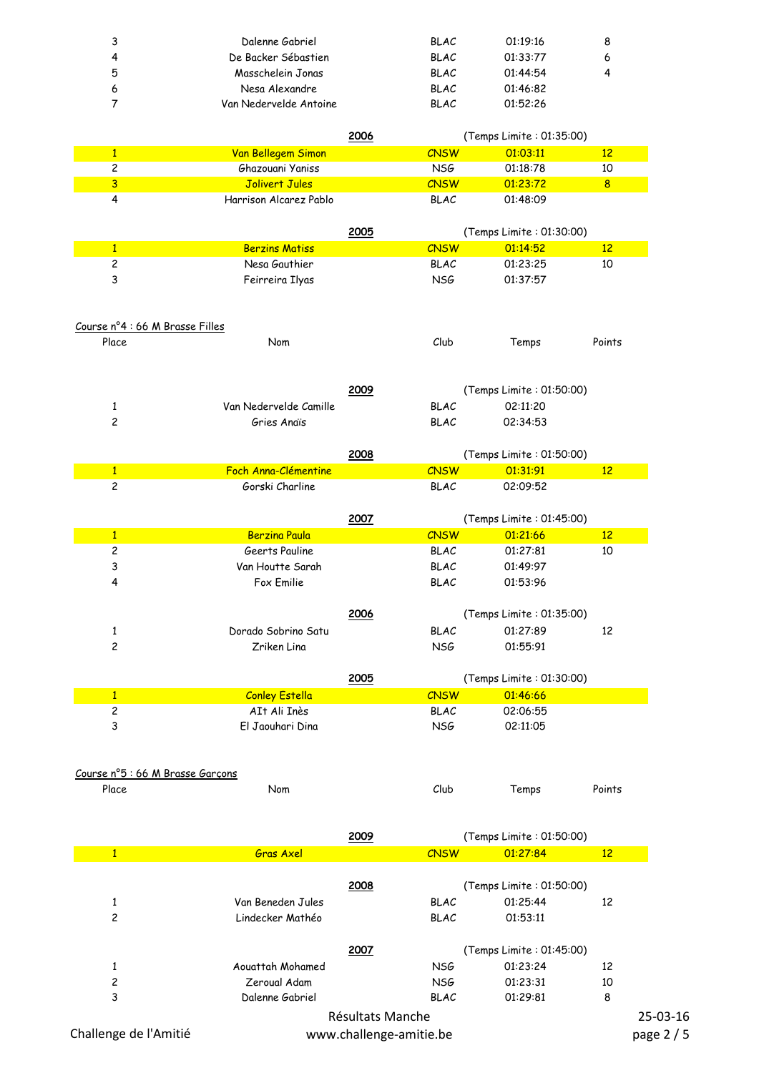| 3 | Dalenne Gabriel        | <b>BLAC</b> | 01:19:16 | 8 |
|---|------------------------|-------------|----------|---|
| 4 | De Backer Sébastien    | <b>BLAC</b> | 01:33:77 | 6 |
| 5 | Masschelein Jonas      | <b>BLAC</b> | 01:44:54 | 4 |
| 6 | Nesa Alexandre         | <b>BLAC</b> | 01:46:82 |   |
|   | Van Nedervelde Antoine | <b>BLAC</b> | 01:52:26 |   |

|                                         |                                       | 2006 | (Temps Limite: 01:35:00)   |                          |                 |
|-----------------------------------------|---------------------------------------|------|----------------------------|--------------------------|-----------------|
| $\mathbf{1}$                            | Van Bellegem Simon                    |      | CNSW                       | 01:03:11                 | 12              |
| $\overline{c}$                          | Ghazouani Yaniss                      |      | <b>NSG</b>                 | 01:18:78                 | 10              |
| $\overline{3}$                          | Jolivert Jules                        |      | <b>CNSW</b>                | 01:23:72                 | 8               |
| 4                                       | Harrison Alcarez Pablo                |      | <b>BLAC</b>                | 01:48:09                 |                 |
|                                         |                                       |      |                            |                          |                 |
|                                         |                                       | 2005 |                            | (Temps Limite: 01:30:00) |                 |
| $\mathbf{1}$                            | <b>Berzins Matiss</b>                 |      | <b>CNSW</b>                | 01:14:52                 | 12              |
| $\overline{c}$                          | Nesa Gauthier                         |      | <b>BLAC</b>                | 01:23:25                 | 10              |
| 3                                       | Feirreira Ilyas                       |      | <b>NSG</b>                 | 01:37:57                 |                 |
|                                         |                                       |      |                            |                          |                 |
|                                         |                                       |      |                            |                          |                 |
| Course nº4 : 66 M Brasse Filles         |                                       |      |                            |                          |                 |
| Place                                   | Nom                                   |      | Club                       | Temps                    | Points          |
|                                         |                                       |      |                            |                          |                 |
|                                         |                                       |      |                            |                          |                 |
|                                         |                                       | 2009 |                            | (Temps Limite: 01:50:00) |                 |
| $\mathbf{1}$                            | Van Nedervelde Camille                |      | <b>BLAC</b>                | 02:11:20                 |                 |
| $\overline{c}$                          | Gries Anaïs                           |      | <b>BLAC</b>                | 02:34:53                 |                 |
|                                         |                                       |      |                            |                          |                 |
|                                         |                                       | 2008 |                            | (Temps Limite: 01:50:00) |                 |
| $\mathbf{1}$                            | Foch Anna-Clémentine                  |      | <b>CNSW</b>                | 01:31:91                 | 12 <sup>2</sup> |
| $\overline{c}$                          | Gorski Charline                       |      | <b>BLAC</b>                | 02:09:52                 |                 |
|                                         |                                       |      |                            |                          |                 |
|                                         |                                       | 2007 |                            | (Temps Limite: 01:45:00) |                 |
| $\mathbf{1}$                            | <b>Berzina Paula</b>                  |      | <b>CNSW</b>                | 01:21:66                 | 12 <sup>2</sup> |
| $\overline{\mathbf{c}}$                 | Geerts Pauline                        |      | <b>BLAC</b>                | 01:27:81                 | 10              |
| 3                                       | Van Houtte Sarah                      |      | <b>BLAC</b>                | 01:49:97                 |                 |
| 4                                       | Fox Emilie                            |      | <b>BLAC</b>                | 01:53:96                 |                 |
|                                         |                                       |      |                            |                          |                 |
|                                         |                                       | 2006 |                            | (Temps Limite: 01:35:00) |                 |
| 1                                       | Dorado Sobrino Satu                   |      | <b>BLAC</b>                | 01:27:89                 | 12              |
| $\overline{c}$                          | Zriken Lina                           |      | <b>NSG</b>                 | 01:55:91                 |                 |
|                                         |                                       |      |                            |                          |                 |
|                                         |                                       | 2005 |                            | (Temps Limite: 01:30:00) |                 |
| $\mathbf{1}$<br>$\overline{\mathbf{c}}$ | <b>Conley Estella</b><br>AIt Ali Inès |      | <b>CNSW</b><br><b>BLAC</b> | 01:46:66                 |                 |
| 3                                       |                                       |      |                            | 02:06:55                 |                 |
|                                         | El Jaouhari Dina                      |      | <b>NSG</b>                 | 02:11:05                 |                 |
|                                         |                                       |      |                            |                          |                 |
|                                         |                                       |      |                            |                          |                 |

## Course n°5 : 66 M Brasse Garçons Place Nom Club Temps Points

|              | 2009              |                  | (Temps Limite: 01:50:00) |     |  |
|--------------|-------------------|------------------|--------------------------|-----|--|
| $\mathbf{1}$ | <b>Gras Axel</b>  | <b>CNSW</b>      | 01:27:84                 | 12  |  |
|              |                   |                  |                          |     |  |
|              | 2008              |                  | (Temps Limite: 01:50:00) |     |  |
|              | Van Beneden Jules | <b>BLAC</b>      | 01:25:44                 | 12  |  |
| 2            | Lindecker Mathéo  | <b>BLAC</b>      | 01:53:11                 |     |  |
|              | 2007              |                  | (Temps Limite: 01:45:00) |     |  |
|              | Aouattah Mohamed  | <b>NSG</b>       | 01:23:24                 | 12  |  |
| 2            | Zeroual Adam      | <b>NSG</b>       | 01:23:31                 | 10  |  |
| 3            | Dalenne Gabriel   | <b>BLAC</b>      | 01:29:81                 | 8   |  |
|              |                   | Dáoilleta Manaka |                          | n m |  |

Résultats Manche www.challenge-amitie.be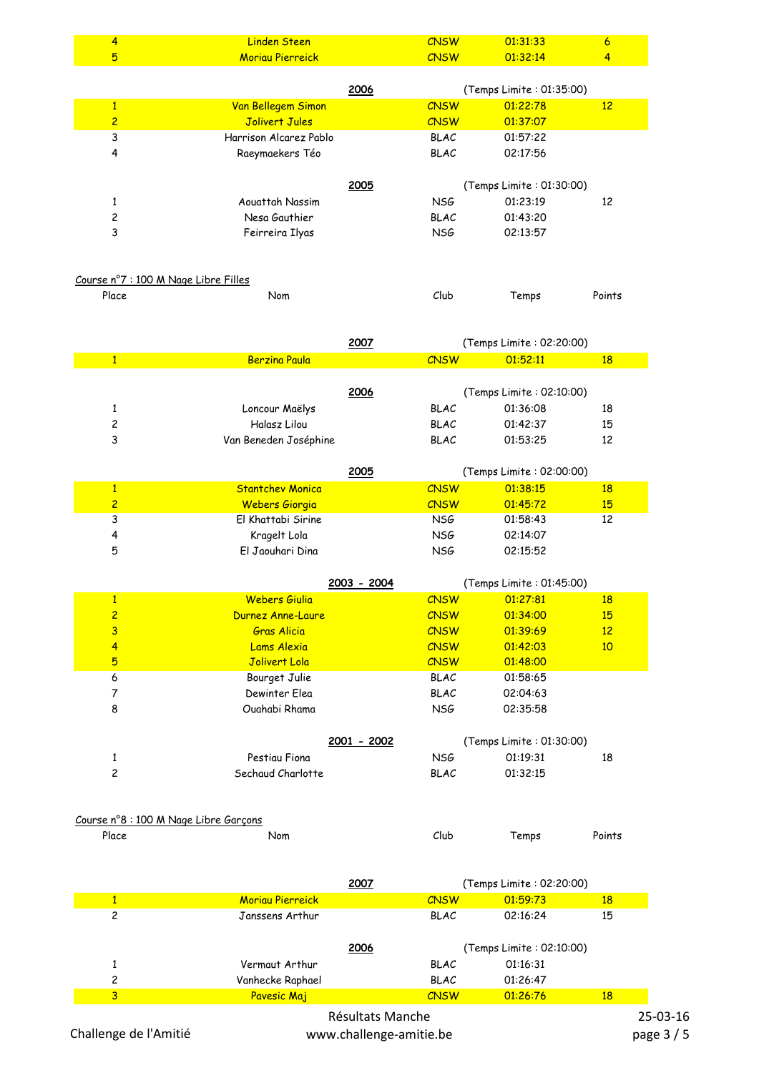| $\overline{4}$                 | <b>Linden Steen</b>                              | <b>CNSW</b>         | 01:31:33                             | $\overline{6}$  |
|--------------------------------|--------------------------------------------------|---------------------|--------------------------------------|-----------------|
| $5\overline{)}$                | <b>Moriau Pierreick</b>                          | <b>CNSW</b>         | 01:32:14                             | 4               |
|                                |                                                  |                     |                                      |                 |
|                                |                                                  | 2006                | (Temps Limite: 01:35:00)             |                 |
| $\mathbf{1}$                   | Van Bellegem Simon                               | <b>CNSW</b>         | 01:22:78                             | 12              |
| $\overline{c}$                 | Jolivert Jules                                   | <b>CNSW</b>         | 01:37:07                             |                 |
| 3                              | Harrison Alcarez Pablo                           | <b>BLAC</b>         | 01:57:22                             |                 |
| $\overline{\mathbf{r}}$        | Raeymaekers Téo                                  | <b>BLAC</b>         | 02:17:56                             |                 |
|                                |                                                  |                     |                                      |                 |
|                                | Aouattah Nassim                                  | 2005<br><b>NSG</b>  | (Temps Limite: 01:30:00)<br>01:23:19 | 12              |
| $\mathbf{1}$<br>$\overline{c}$ | Nesa Gauthier                                    | <b>BLAC</b>         | 01:43:20                             |                 |
| 3                              |                                                  | <b>NSG</b>          | 02:13:57                             |                 |
|                                | Feirreira Ilyas                                  |                     |                                      |                 |
|                                |                                                  |                     |                                      |                 |
|                                | Course n°7 : 100 M Nage Libre Filles             |                     |                                      |                 |
| Place                          | Nom                                              | Club                | Temps                                | Points          |
|                                |                                                  |                     |                                      |                 |
|                                |                                                  |                     |                                      |                 |
|                                |                                                  | 2007                | (Temps Limite: 02:20:00)             |                 |
| $\overline{1}$                 | <b>Berzina Paula</b>                             | <b>CNSW</b>         | 01:52:11                             | 18              |
|                                |                                                  |                     |                                      |                 |
|                                |                                                  | 2006                | (Temps Limite: 02:10:00)             |                 |
| $\mathbf{1}$                   | Loncour Maëlys                                   | <b>BLAC</b>         | 01:36:08                             | 18              |
| 2                              | Halasz Lilou                                     | <b>BLAC</b>         | 01:42:37                             | 15              |
| 3                              | Van Beneden Joséphine                            | <b>BLAC</b>         | 01:53:25                             | 12              |
|                                |                                                  |                     |                                      |                 |
|                                |                                                  | 2005<br><b>CNSW</b> | (Temps Limite: 02:00:00)             |                 |
| $\mathbf{1}$<br>$\overline{2}$ | <b>Stantchev Monica</b><br><b>Webers Giorgia</b> | <b>CNSW</b>         | 01:38:15<br>01:45:72                 | 18<br>15        |
| 3                              | El Khattabi Sirine                               | NS <sub>G</sub>     | 01:58:43                             | 12              |
| 4                              | Kragelt Lola                                     | NS <sub>G</sub>     | 02:14:07                             |                 |
| 5                              | El Jaouhari Dina                                 | NSG                 | 02:15:52                             |                 |
|                                |                                                  |                     |                                      |                 |
|                                |                                                  | 2003 - 2004         | (Temps Limite: 01:45:00)             |                 |
| $\mathbf{1}$                   | Webers Giulia                                    | <b>CNSW</b>         | 01:27:81                             | <b>18</b>       |
| $\overline{2}$                 | <b>Durnez Anne-Laure</b>                         | <b>CNSW</b>         | 01:34:00                             | 15              |
| $\overline{\mathbf{3}}$        | <b>Gras Alicia</b>                               | <b>CNSW</b>         | 01:39:69                             | 12              |
| $\overline{4}$                 | Lams Alexia                                      | <b>CNSW</b>         | 01:42:03                             | 10              |
| $\overline{5}$                 | Jolivert Lola                                    | <b>CNSW</b>         | 01:48:00                             |                 |
| 6                              | Bourget Julie                                    | <b>BLAC</b>         | 01:58:65                             |                 |
| $\overline{7}$                 | Dewinter Elea                                    | <b>BLAC</b>         | 02:04:63                             |                 |
| 8                              | Ouahabi Rhama                                    | <b>NSG</b>          | 02:35:58                             |                 |
|                                |                                                  |                     |                                      |                 |
|                                |                                                  | 2001 - 2002         | (Temps Limite: 01:30:00)             |                 |
| $\mathbf{1}$                   | Pestiau Fiona                                    | <b>NSG</b>          | 01:19:31                             | 18              |
| $\overline{\mathbf{c}}$        | Sechaud Charlotte                                | <b>BLAC</b>         | 01:32:15                             |                 |
|                                |                                                  |                     |                                      |                 |
|                                | Course n°8 : 100 M Nage Libre Garçons            |                     |                                      |                 |
| Place                          | Nom                                              | Club                | Temps                                | Points          |
|                                |                                                  |                     |                                      |                 |
|                                |                                                  |                     |                                      |                 |
|                                |                                                  | 2007                | (Temps Limite: 02:20:00)             |                 |
| $\mathbf{1}$                   | <b>Moriau Pierreick</b>                          | <b>CNSW</b>         | 01:59:73                             | <b>18</b>       |
| $\overline{c}$                 | Janssens Arthur                                  | <b>BLAC</b>         | 02:16:24                             | 15              |
|                                |                                                  |                     |                                      |                 |
|                                |                                                  | 2006                | (Temps Limite: 02:10:00)             |                 |
| $\mathbf{1}$                   | Vermaut Arthur                                   | <b>BLAC</b>         | 01:16:31                             |                 |
| 2<br>$\overline{3}$            | Vanhecke Raphael                                 | <b>BLAC</b>         | 01:26:47                             |                 |
|                                | Pavesic Maj                                      | <b>CNSW</b>         | 01:26:76                             | <b>18</b><br>つに |
|                                |                                                  | Rósultate Manche    |                                      |                 |

Résultats Manche www.challenge-amitie.be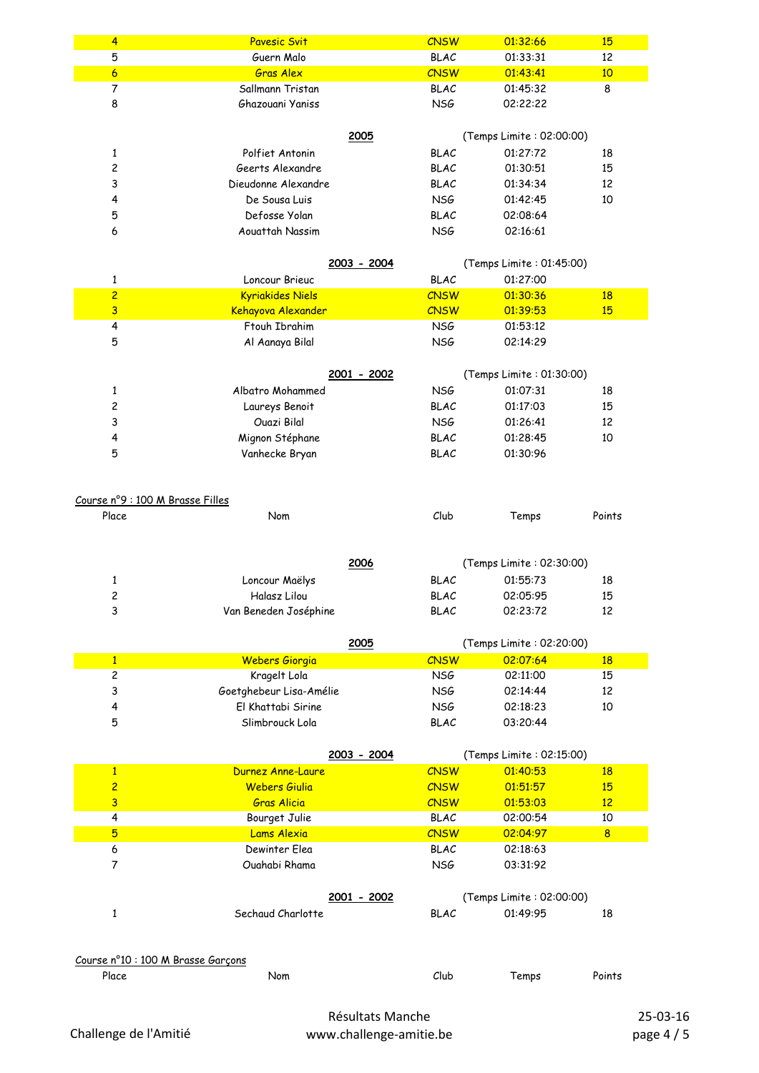| $\overline{4}$                   | <b>Pavesic Svit</b>                | <b>CNSW</b> | 01:32:66                 | 15             |
|----------------------------------|------------------------------------|-------------|--------------------------|----------------|
| 5                                | Guern Malo                         | <b>BLAC</b> | 01:33:31                 | 12             |
| $\mathbf{6}$                     | <b>Gras Alex</b>                   | <b>CNSW</b> | 01:43:41                 | 10             |
| $\overline{7}$                   | Sallmann Tristan                   | <b>BLAC</b> | 01:45:32                 | 8              |
| 8                                | Ghazouani Yaniss                   | <b>NSG</b>  | 02:22:22                 |                |
|                                  |                                    |             |                          |                |
|                                  | 2005                               |             | (Temps Limite: 02:00:00) |                |
| 1                                | Polfiet Antonin                    | <b>BLAC</b> | 01:27:72                 | 18             |
| 2                                | Geerts Alexandre                   | <b>BLAC</b> | 01:30:51                 | 15             |
| 3                                | Dieudonne Alexandre                | <b>BLAC</b> | 01:34:34                 | 12             |
| 4                                |                                    | <b>NSG</b>  |                          | 10             |
|                                  | De Sousa Luis                      |             | 01:42:45                 |                |
| 5                                | Defosse Yolan                      | <b>BLAC</b> | 02:08:64                 |                |
| 6                                | Aouattah Nassim                    | NSG         | 02:16:61                 |                |
|                                  |                                    |             |                          |                |
|                                  | 2003 - 2004                        |             | (Temps Limite: 01:45:00) |                |
| 1                                | Loncour Brieuc                     | <b>BLAC</b> | 01:27:00                 |                |
| $\overline{c}$                   | <b>Kyriakides Niels</b>            | <b>CNSW</b> | 01:30:36                 | <b>18</b>      |
| $\overline{\mathbf{3}}$          | Kehayova Alexander                 | <b>CNSW</b> | 01:39:53                 | 15             |
| $\overline{\mathbf{4}}$          | Ftouh Ibrahim                      | NSG         | 01:53:12                 |                |
| 5                                | Al Aanaya Bilal                    | <b>NSG</b>  | 02:14:29                 |                |
|                                  |                                    |             |                          |                |
|                                  | 2001 - 2002                        |             | (Temps Limite: 01:30:00) |                |
| 1                                | Albatro Mohammed                   | <b>NSG</b>  | 01:07:31                 | 18             |
| 2                                | Laureys Benoit                     | <b>BLAC</b> | 01:17:03                 | 15             |
| 3                                | Ouazi Bilal                        | NSG         | 01:26:41                 | 12             |
| 4                                | Mignon Stéphane                    | <b>BLAC</b> | 01:28:45                 | 10             |
| 5                                | Vanhecke Bryan                     | <b>BLAC</b> | 01:30:96                 |                |
|                                  |                                    |             |                          |                |
|                                  |                                    |             |                          |                |
| Course nº9 : 100 M Brasse Filles |                                    |             |                          |                |
| Place                            | Nom                                | Club        | Temps                    | Points         |
|                                  |                                    |             |                          |                |
|                                  |                                    |             |                          |                |
|                                  | 2006                               |             | (Temps Limite: 02:30:00) |                |
| 1                                | Loncour Maëlys                     | <b>BLAC</b> | 01:55:73                 | 18             |
| 2                                | Halasz Lilou                       | <b>BLAC</b> | 02:05:95                 | 15             |
| 3                                | Van Beneden Joséphine              | <b>BLAC</b> | 02:23:72                 | 12             |
|                                  |                                    |             |                          |                |
|                                  |                                    |             | (Temps Limite: 02:20:00) |                |
|                                  | 2005                               |             |                          |                |
| $\mathbf{1}$                     | Webers Giorgia                     | <b>CNSW</b> | 02:07:64                 | <b>18</b>      |
| 2                                | Kragelt Lola                       | <b>NSG</b>  | 02:11:00                 | 15             |
| 3                                | Goetghebeur Lisa-Amélie            | NSG         | 02:14:44                 | 12             |
| 4                                | El Khattabi Sirine                 | NSG         | 02:18:23                 | 10             |
| 5                                | Slimbrouck Lola                    | <b>BLAC</b> | 03:20:44                 |                |
|                                  |                                    |             |                          |                |
|                                  | 2003 - 2004                        |             | (Temps Limite: 02:15:00) |                |
| $\mathbf{1}$                     | Durnez Anne-Laure                  | <b>CNSW</b> | 01:40:53                 | <b>18</b>      |
| $\overline{c}$                   | <b>Webers Giulia</b>               | <b>CNSW</b> | 01:51:57                 | 15             |
| 3                                | <b>Gras Alicia</b>                 | <b>CNSW</b> | 01:53:03                 | 12             |
| 4                                | Bourget Julie                      | <b>BLAC</b> | 02:00:54                 | 10             |
| $5\overline{)}$                  | Lams Alexia                        | <b>CNSW</b> | 02:04:97                 | 8 <sup>2</sup> |
| $\boldsymbol{6}$                 | Dewinter Elea                      | <b>BLAC</b> | 02:18:63                 |                |
| $\overline{7}$                   | Ouahabi Rhama                      | NSG         | 03:31:92                 |                |
|                                  |                                    |             |                          |                |
|                                  | 2001 - 2002                        |             | (Temps Limite: 02:00:00) |                |
| $\mathbf{1}$                     | Sechaud Charlotte                  | <b>BLAC</b> | 01:49:95                 | 18             |
|                                  |                                    |             |                          |                |
|                                  |                                    |             |                          |                |
|                                  | Course n°10 : 100 M Brasse Garçons |             |                          |                |
| Place                            | Nom                                | Club        | Temps                    | Points         |
|                                  |                                    |             |                          |                |
|                                  |                                    |             |                          |                |

Résultats Manche www.challenge-amitie.be